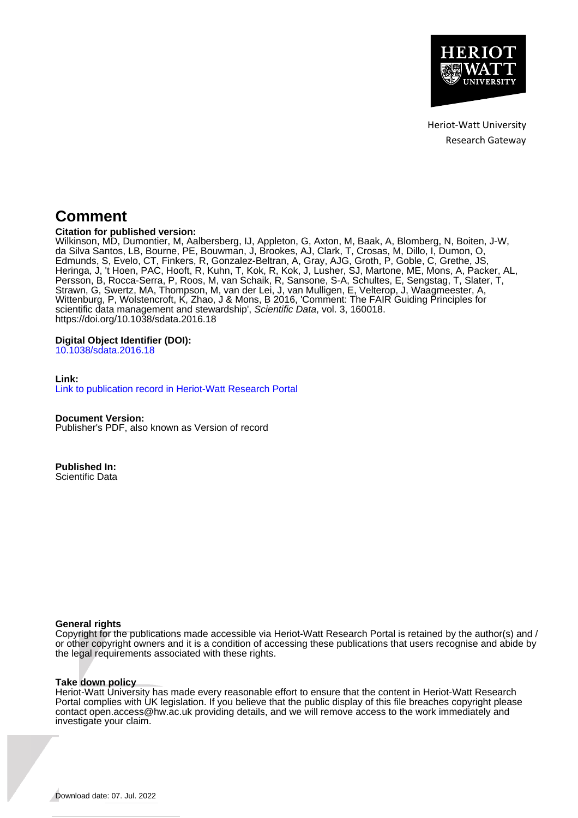

Heriot-Watt University Research Gateway

### **Comment**

#### **Citation for published version:**

Wilkinson, MD, Dumontier, M, Aalbersberg, IJ, Appleton, G, Axton, M, Baak, A, Blomberg, N, Boiten, J-W, da Silva Santos, LB, Bourne, PE, Bouwman, J, Brookes, AJ, Clark, T, Crosas, M, Dillo, I, Dumon, O, Edmunds, S, Evelo, CT, Finkers, R, Gonzalez-Beltran, A, Gray, AJG, Groth, P, Goble, C, Grethe, JS, Heringa, J, 't Hoen, PAC, Hooft, R, Kuhn, T, Kok, R, Kok, J, Lusher, SJ, Martone, ME, Mons, A, Packer, AL, Persson, B, Rocca-Serra, P, Roos, M, van Schaik, R, Sansone, S-A, Schultes, E, Sengstag, T, Slater, T, Strawn, G, Swertz, MA, Thompson, M, van der Lei, J, van Mulligen, E, Velterop, J, Waagmeester, A, Wittenburg, P, Wolstencroft, K, Zhao, J & Mons, B 2016, 'Comment: The FAIR Guiding Principles for scientific data management and stewardship', Scientific Data, vol. 3, 160018. <https://doi.org/10.1038/sdata.2016.18>

#### **Digital Object Identifier (DOI):**

[10.1038/sdata.2016.18](https://doi.org/10.1038/sdata.2016.18)

**Link:** [Link to publication record in Heriot-Watt Research Portal](https://researchportal.hw.ac.uk/en/publications/e23fd005-9660-4b0b-8081-0f19c21781e6)

**Document Version:**

Publisher's PDF, also known as Version of record

**Published In:** Scientific Data

#### **General rights**

Copyright for the publications made accessible via Heriot-Watt Research Portal is retained by the author(s) and / or other copyright owners and it is a condition of accessing these publications that users recognise and abide by the legal requirements associated with these rights.

#### **Take down policy**

Heriot-Watt University has made every reasonable effort to ensure that the content in Heriot-Watt Research Portal complies with UK legislation. If you believe that the public display of this file breaches copyright please contact open.access@hw.ac.uk providing details, and we will remove access to the work immediately and investigate your claim.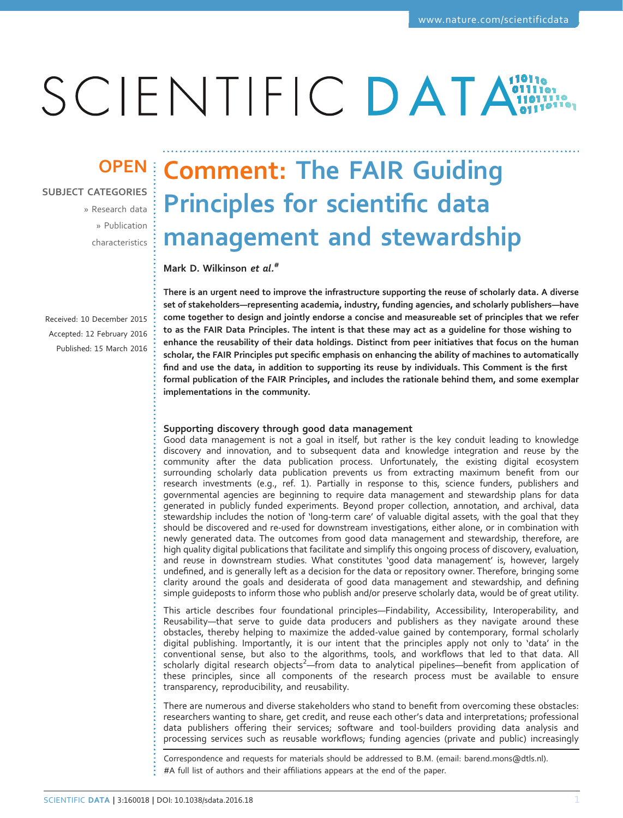# SCIENTIFIC DATA

#### SUBJECT CATEGORIES

Received: 10 December 2015 Accepted: 12 February 2016 Published: 15 March 2016

» Research data » Publication characteristics

## OPEN Comment: The FAIR Guiding Principles for scientific data management and stewardship

#### Mark D. Wilkinson et al.<sup>#</sup>

There is an urgent need to improve the infrastructure supporting the reuse of scholarly data. A diverse set of stakeholders—representing academia, industry, funding agencies, and scholarly publishers—have come together to design and jointly endorse a concise and measureable set of principles that we refer to as the FAIR Data Principles. The intent is that these may act as a guideline for those wishing to enhance the reusability of their data holdings. Distinct from peer initiatives that focus on the human scholar, the FAIR Principles put specific emphasis on enhancing the ability of machines to automatically find and use the data, in addition to supporting its reuse by individuals. This Comment is the first formal publication of the FAIR Principles, and includes the rationale behind them, and some exemplar implementations in the community.

#### Supporting discovery through good data management

Good data management is not a goal in itself, but rather is the key conduit leading to knowledge discovery and innovation, and to subsequent data and knowledge integration and reuse by the community after the data publication process. Unfortunately, the existing digital ecosystem surrounding scholarly data publication prevents us from extracting maximum benefit from our research investments (e.g., [ref.](#page-7-0) 1). Partially in response to this, science funders, publishers and governmental agencies are beginning to require data management and stewardship plans for data generated in publicly funded experiments. Beyond proper collection, annotation, and archival, data stewardship includes the notion of 'long-term care' of valuable digital assets, with the goal that they should be discovered and re-used for downstream investigations, either alone, or in combination with newly generated data. The outcomes from good data management and stewardship, therefore, are high quality digital publications that facilitate and simplify this ongoing process of discovery, evaluation, and reuse in downstream studies. What constitutes 'good data management' is, however, largely undefined, and is generally left as a decision for the data or repository owner. Therefore, bringing some clarity around the goals and desiderata of good data management and stewardship, and defining simple guideposts to inform those who publish and/or preserve scholarly data, would be of great utility.

This article describes four foundational principles—Findability, Accessibility, Interoperability, and Reusability—that serve to guide data producers and publishers as they navigate around these obstacles, thereby helping to maximize the added-value gained by contemporary, formal scholarly digital publishing. Importantly, it is our intent that the principles apply not only to 'data' in the conventional sense, but also to the algorithms, tools, and workflows that led to that data. All scholarly digital research objects<sup>[2](#page-7-0)</sup>—from data to analytical pipelines—benefit from application of these principles, since all components of the research process must be available to ensure transparency, reproducibility, and reusability.

There are numerous and diverse stakeholders who stand to benefit from overcoming these obstacles: researchers wanting to share, get credit, and reuse each other's data and interpretations; professional data publishers offering their services; software and tool-builders providing data analysis and processing services such as reusable workflows; funding agencies (private and public) increasingly

Correspondence and requests for materials should be addressed to B.M. (email: [barend.mons@dtls.nl\)](mailto:barend.mons@dtls.nl). #A full list of authors and their affiliations appears at the end of the paper.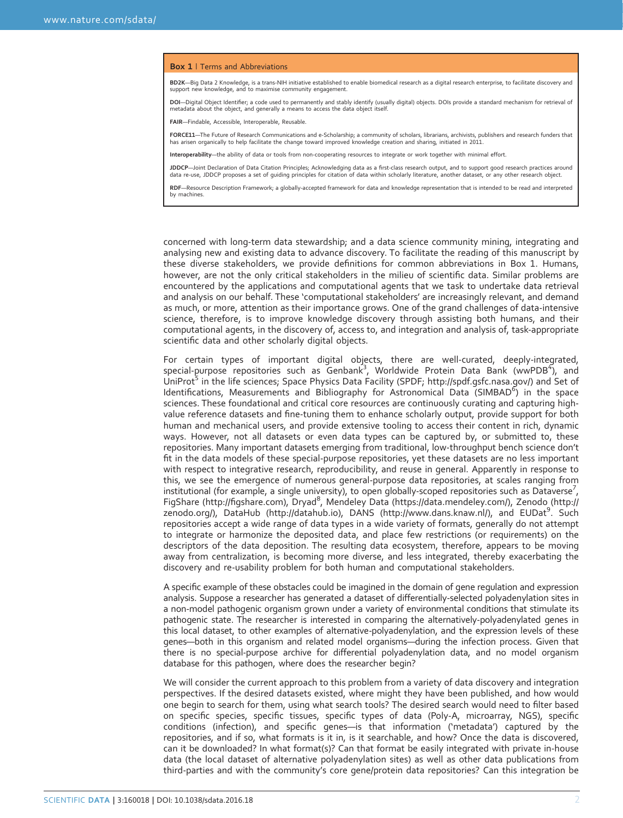#### Box 1 | Terms and Abbreviations

BD2K—Big Data 2 Knowledge, is a trans-NIH initiative established to enable biomedical research as a digital research enterprise, to facilitate discovery and support new knowledge, and to maximise community engagement.

DOI—Digital Object Identifier; a code used to permanently and stably identify (usually digital) objects. DOIs provide a standard mechanism for retrieval of metadata about the object, and generally a means to access the data object itself.

FAIR—Findable, Accessible, Interoperable, Reusable.

FORCE11—The Future of Research Communications and e-Scholarship; a community of scholars, librarians, archivists, publishers and research funders that has arisen organically to help facilitate the change toward improved knowledge creation and sharing, initiated in 2011.

Interoperability—the ability of data or tools from non-cooperating resources to integrate or work together with minimal effort.

JDDCP—Joint Declaration of Data Citation Principles; Acknowledging data as a first-class research output, and to support good research practices around data re-use, JDDCP proposes a set of guiding principles for citation of data within scholarly literature, another dataset, or any other research object.

RDF—Resource Description Framework; a globally-accepted framework for data and knowledge representation that is intended to be read and interpreted by machines

concerned with long-term data stewardship; and a data science community mining, integrating and analysing new and existing data to advance discovery. To facilitate the reading of this manuscript by these diverse stakeholders, we provide definitions for common abbreviations in Box 1. Humans, however, are not the only critical stakeholders in the milieu of scientific data. Similar problems are encountered by the applications and computational agents that we task to undertake data retrieval and analysis on our behalf. These 'computational stakeholders' are increasingly relevant, and demand as much, or more, attention as their importance grows. One of the grand challenges of data-intensive science, therefore, is to improve knowledge discovery through assisting both humans, and their computational agents, in the discovery of, access to, and integration and analysis of, task-appropriate scientific data and other scholarly digital objects.

For certain types of important digital objects, there are well-curated, deeply-integrated, special-purpose repositories such as Genbank<sup>[3](#page-7-0)</sup>, Worldwide Protein Data Bank (wwPDB<sup>[4](#page-7-0)</sup>), and UniProt<sup>[5](#page-7-0)</sup> in the life sciences; Space Physics Data Facility (SPDF;<http://spdf.gsfc.nasa.gov/>) and Set of Identifications, Measurements and Bibliography for Astronomical Data (SIMBAD<sup>[6](#page-7-0)</sup>) in the space sciences. These foundational and critical core resources are continuously curating and capturing highvalue reference datasets and fine-tuning them to enhance scholarly output, provide support for both human and mechanical users, and provide extensive tooling to access their content in rich, dynamic ways. However, not all datasets or even data types can be captured by, or submitted to, these repositories. Many important datasets emerging from traditional, low-throughput bench science don't fit in the data models of these special-purpose repositories, yet these datasets are no less important with respect to integrative research, reproducibility, and reuse in general. Apparently in response to this, we see the emergence of numerous general-purpose data repositories, at scales ranging from institutional (for example, a single university), to open globally-scoped repositories such as Dataverse<sup>[7](#page-7-0)</sup>, FigShare (http://fi[gshare.com\)](http://figshare.com), Dryad<sup>[8](#page-7-0)</sup>, Mendeley Data (<https://data.mendeley.com/>), Zenodo [\(http://](http://zenodo.org/) [zenodo.org/](http://zenodo.org/)), DataHub [\(http://datahub.io](http://datahub.io)), DANS [\(http://www.dans.knaw.nl/](http://www.dans.knaw.nl/)), and EUDat<sup>[9](#page-7-0)</sup>. Such repositories accept a wide range of data types in a wide variety of formats, generally do not attempt to integrate or harmonize the deposited data, and place few restrictions (or requirements) on the descriptors of the data deposition. The resulting data ecosystem, therefore, appears to be moving away from centralization, is becoming more diverse, and less integrated, thereby exacerbating the discovery and re-usability problem for both human and computational stakeholders.

A specific example of these obstacles could be imagined in the domain of gene regulation and expression analysis. Suppose a researcher has generated a dataset of differentially-selected polyadenylation sites in a non-model pathogenic organism grown under a variety of environmental conditions that stimulate its pathogenic state. The researcher is interested in comparing the alternatively-polyadenylated genes in this local dataset, to other examples of alternative-polyadenylation, and the expression levels of these genes—both in this organism and related model organisms—during the infection process. Given that there is no special-purpose archive for differential polyadenylation data, and no model organism database for this pathogen, where does the researcher begin?

We will consider the current approach to this problem from a variety of data discovery and integration perspectives. If the desired datasets existed, where might they have been published, and how would one begin to search for them, using what search tools? The desired search would need to filter based on specific species, specific tissues, specific types of data (Poly-A, microarray, NGS), specific conditions (infection), and specific genes—is that information ('metadata') captured by the repositories, and if so, what formats is it in, is it searchable, and how? Once the data is discovered, can it be downloaded? In what format(s)? Can that format be easily integrated with private in-house data (the local dataset of alternative polyadenylation sites) as well as other data publications from third-parties and with the community's core gene/protein data repositories? Can this integration be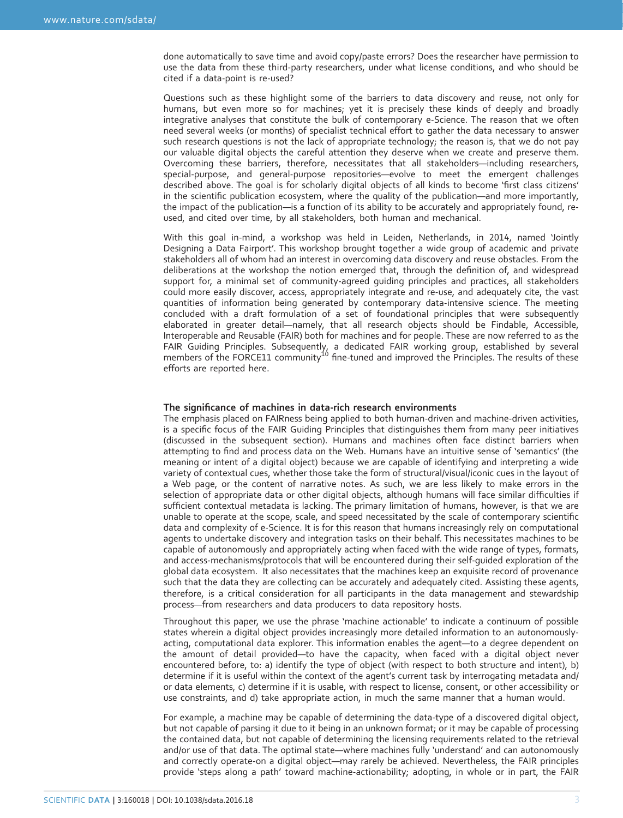done automatically to save time and avoid copy/paste errors? Does the researcher have permission to use the data from these third-party researchers, under what license conditions, and who should be cited if a data-point is re-used?

Questions such as these highlight some of the barriers to data discovery and reuse, not only for humans, but even more so for machines; yet it is precisely these kinds of deeply and broadly integrative analyses that constitute the bulk of contemporary e-Science. The reason that we often need several weeks (or months) of specialist technical effort to gather the data necessary to answer such research questions is not the lack of appropriate technology; the reason is, that we do not pay our valuable digital objects the careful attention they deserve when we create and preserve them. Overcoming these barriers, therefore, necessitates that all stakeholders—including researchers, special-purpose, and general-purpose repositories—evolve to meet the emergent challenges described above. The goal is for scholarly digital objects of all kinds to become 'first class citizens' in the scientific publication ecosystem, where the quality of the publication—and more importantly, the impact of the publication—is a function of its ability to be accurately and appropriately found, reused, and cited over time, by all stakeholders, both human and mechanical.

With this goal in-mind, a workshop was held in Leiden, Netherlands, in 2014, named 'Jointly Designing a Data Fairport'. This workshop brought together a wide group of academic and private stakeholders all of whom had an interest in overcoming data discovery and reuse obstacles. From the deliberations at the workshop the notion emerged that, through the definition of, and widespread support for, a minimal set of community-agreed guiding principles and practices, all stakeholders could more easily discover, access, appropriately integrate and re-use, and adequately cite, the vast quantities of information being generated by contemporary data-intensive science. The meeting concluded with a draft formulation of a set of foundational principles that were subsequently elaborated in greater detail—namely, that all research objects should be Findable, Accessible, Interoperable and Reusable (FAIR) both for machines and for people. These are now referred to as the FAIR Guiding Principles. Subsequently, a dedicated FAIR working group, established by several<br>members of the FORCE11 community<sup>[10](#page-7-0)</sup> fine-tuned and improved the Principles. The results of these efforts are reported here.

#### The significance of machines in data-rich research environments

The emphasis placed on FAIRness being applied to both human-driven and machine-driven activities, is a specific focus of the FAIR Guiding Principles that distinguishes them from many peer initiatives (discussed in the subsequent section). Humans and machines often face distinct barriers when attempting to find and process data on the Web. Humans have an intuitive sense of 'semantics' (the meaning or intent of a digital object) because we are capable of identifying and interpreting a wide variety of contextual cues, whether those take the form of structural/visual/iconic cues in the layout of a Web page, or the content of narrative notes. As such, we are less likely to make errors in the selection of appropriate data or other digital objects, although humans will face similar difficulties if sufficient contextual metadata is lacking. The primary limitation of humans, however, is that we are unable to operate at the scope, scale, and speed necessitated by the scale of contemporary scientific data and complexity of e-Science. It is for this reason that humans increasingly rely on computational agents to undertake discovery and integration tasks on their behalf. This necessitates machines to be capable of autonomously and appropriately acting when faced with the wide range of types, formats, and access-mechanisms/protocols that will be encountered during their self-guided exploration of the global data ecosystem. It also necessitates that the machines keep an exquisite record of provenance such that the data they are collecting can be accurately and adequately cited. Assisting these agents, therefore, is a critical consideration for all participants in the data management and stewardship process—from researchers and data producers to data repository hosts.

Throughout this paper, we use the phrase 'machine actionable' to indicate a continuum of possible states wherein a digital object provides increasingly more detailed information to an autonomouslyacting, computational data explorer. This information enables the agent—to a degree dependent on the amount of detail provided—to have the capacity, when faced with a digital object never encountered before, to: a) identify the type of object (with respect to both structure and intent), b) determine if it is useful within the context of the agent's current task by interrogating metadata and/ or data elements, c) determine if it is usable, with respect to license, consent, or other accessibility or use constraints, and d) take appropriate action, in much the same manner that a human would.

For example, a machine may be capable of determining the data-type of a discovered digital object, but not capable of parsing it due to it being in an unknown format; or it may be capable of processing the contained data, but not capable of determining the licensing requirements related to the retrieval and/or use of that data. The optimal state—where machines fully 'understand' and can autonomously and correctly operate-on a digital object—may rarely be achieved. Nevertheless, the FAIR principles provide 'steps along a path' toward machine-actionability; adopting, in whole or in part, the FAIR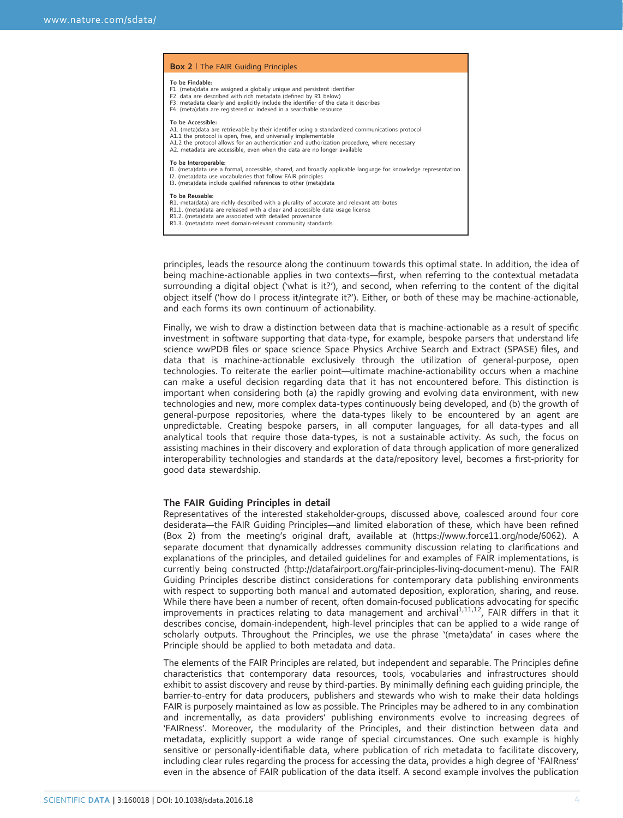#### Box 2 | The FAIR Guiding Principles To be Findable: F1. (meta)data are assigned a globally unique and persistent identifier F2. data are described with rich metadata (defined by R1 below) F3. metadata clearly and explicitly include the identifier of the data it describes F4. (meta)data are registered or indexed in a searchable resource To be Accessible: A1. (meta)data are retrievable by their identifier using a standardized communications protocol A1.1 the protocol is open, free, and universally implementable A1.2 the protocol allows for an authentication and authorization procedure, where necessary A2. metadata are accessible, even when the data are no longer available To be Interoperable: I1. (meta)data use a formal, accessible, shared, and broadly applicable language for knowledge representation. I2. (meta)data use vocabularies that follow FAIR principles I3. (meta)data include qualified references to other (meta)data

#### To be Reusable:

- R1. meta(data) are richly described with a plurality of accurate and relevant attributes R1.1. (meta)data are released with a clear and accessible data usage license
- R1.2. (meta)data are associated with detailed provenance
- R1.3. (meta)data meet domain-relevant community standards

principles, leads the resource along the continuum towards this optimal state. In addition, the idea of being machine-actionable applies in two contexts—first, when referring to the contextual metadata surrounding a digital object ('what is it?'), and second, when referring to the content of the digital object itself ('how do I process it/integrate it?'). Either, or both of these may be machine-actionable, and each forms its own continuum of actionability.

Finally, we wish to draw a distinction between data that is machine-actionable as a result of specific investment in software supporting that data-type, for example, bespoke parsers that understand life science wwPDB files or space science Space Physics Archive Search and Extract (SPASE) files, and data that is machine-actionable exclusively through the utilization of general-purpose, open technologies. To reiterate the earlier point—ultimate machine-actionability occurs when a machine can make a useful decision regarding data that it has not encountered before. This distinction is important when considering both (a) the rapidly growing and evolving data environment, with new technologies and new, more complex data-types continuously being developed, and (b) the growth of general-purpose repositories, where the data-types likely to be encountered by an agent are unpredictable. Creating bespoke parsers, in all computer languages, for all data-types and all analytical tools that require those data-types, is not a sustainable activity. As such, the focus on assisting machines in their discovery and exploration of data through application of more generalized interoperability technologies and standards at the data/repository level, becomes a first-priority for good data stewardship.

#### The FAIR Guiding Principles in detail

Representatives of the interested stakeholder-groups, discussed above, coalesced around four core desiderata—the FAIR Guiding Principles—and limited elaboration of these, which have been refined (Box 2) from the meeting's original draft, available at [\(https://www.force](https://www.force11.org/node/6062)11.org/node/6062). A separate document that dynamically addresses community discussion relating to clarifications and explanations of the principles, and detailed guidelines for and examples of FAIR implementations, is currently being constructed [\(http://datafairport.org/fair-principles-living-document-menu](http://datafairport.org/fair-principles-living-document-menu)). The FAIR Guiding Principles describe distinct considerations for contemporary data publishing environments with respect to supporting both manual and automated deposition, exploration, sharing, and reuse. While there have been a number of recent, often domain-focused publications advocating for specific improvements in practices relating to data management and archival $1,11,12$  $1,11,12$  $1,11,12$  $1,11,12$  $1,11,12$ , FAIR differs in that it describes concise, domain-independent, high-level principles that can be applied to a wide range of scholarly outputs. Throughout the Principles, we use the phrase '(meta)data' in cases where the Principle should be applied to both metadata and data.

The elements of the FAIR Principles are related, but independent and separable. The Principles define characteristics that contemporary data resources, tools, vocabularies and infrastructures should exhibit to assist discovery and reuse by third-parties. By minimally defining each guiding principle, the barrier-to-entry for data producers, publishers and stewards who wish to make their data holdings FAIR is purposely maintained as low as possible. The Principles may be adhered to in any combination and incrementally, as data providers' publishing environments evolve to increasing degrees of 'FAIRness'. Moreover, the modularity of the Principles, and their distinction between data and metadata, explicitly support a wide range of special circumstances. One such example is highly sensitive or personally-identifiable data, where publication of rich metadata to facilitate discovery, including clear rules regarding the process for accessing the data, provides a high degree of 'FAIRness' even in the absence of FAIR publication of the data itself. A second example involves the publication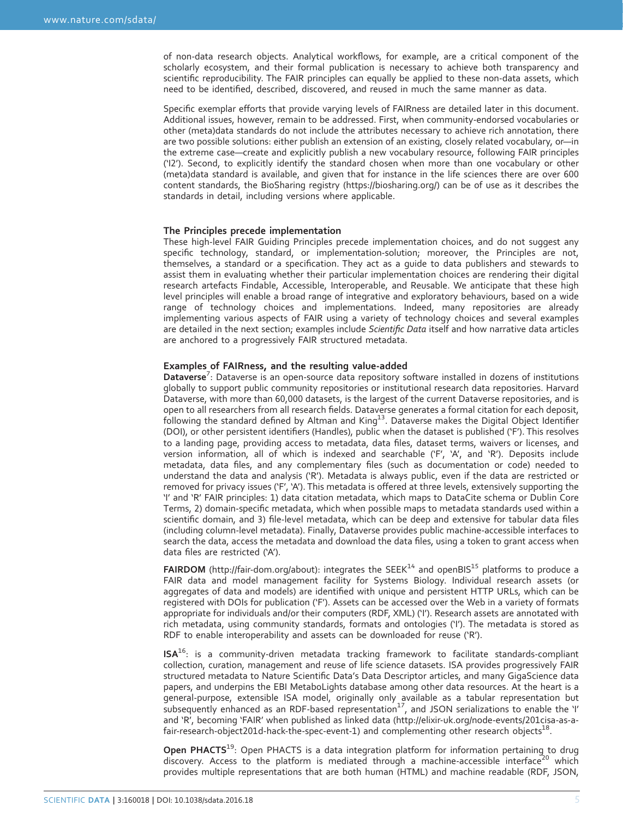of non-data research objects. Analytical workflows, for example, are a critical component of the scholarly ecosystem, and their formal publication is necessary to achieve both transparency and scientific reproducibility. The FAIR principles can equally be applied to these non-data assets, which need to be identified, described, discovered, and reused in much the same manner as data.

Specific exemplar efforts that provide varying levels of FAIRness are detailed later in this document. Additional issues, however, remain to be addressed. First, when community-endorsed vocabularies or other (meta)data standards do not include the attributes necessary to achieve rich annotation, there are two possible solutions: either publish an extension of an existing, closely related vocabulary, or—in the extreme case—create and explicitly publish a new vocabulary resource, following FAIR principles ('I2'). Second, to explicitly identify the standard chosen when more than one vocabulary or other (meta)data standard is available, and given that for instance in the life sciences there are over 600 content standards, the BioSharing registry ([https://biosharing.org/\)](https://biosharing.org/) can be of use as it describes the standards in detail, including versions where applicable.

#### The Principles precede implementation

These high-level FAIR Guiding Principles precede implementation choices, and do not suggest any specific technology, standard, or implementation-solution; moreover, the Principles are not, themselves, a standard or a specification. They act as a guide to data publishers and stewards to assist them in evaluating whether their particular implementation choices are rendering their digital research artefacts Findable, Accessible, Interoperable, and Reusable. We anticipate that these high level principles will enable a broad range of integrative and exploratory behaviours, based on a wide range of technology choices and implementations. Indeed, many repositories are already implementing various aspects of FAIR using a variety of technology choices and several examples are detailed in the next section; examples include Scientific Data itself and how narrative data articles are anchored to a progressively FAIR structured metadata.

#### Examples of FAIRness, and the resulting value-added

Dataverse<sup>[7](#page-7-0)</sup>: Dataverse is an open-source data repository software installed in dozens of institutions globally to support public community repositories or institutional research data repositories. Harvard Dataverse, with more than 60,000 datasets, is the largest of the current Dataverse repositories, and is open to all researchers from all research fields. Dataverse generates a formal citation for each deposit, following the standard defined by Altman and King $13$ . Dataverse makes the Digital Object Identifier (DOI), or other persistent identifiers (Handles), public when the dataset is published ('F'). This resolves to a landing page, providing access to metadata, data files, dataset terms, waivers or licenses, and version information, all of which is indexed and searchable ('F', 'A', and 'R'). Deposits include metadata, data files, and any complementary files (such as documentation or code) needed to understand the data and analysis ('R'). Metadata is always public, even if the data are restricted or removed for privacy issues ('F', 'A'). This metadata is offered at three levels, extensively supporting the 'I' and 'R' FAIR principles: 1) data citation metadata, which maps to DataCite schema or Dublin Core Terms, 2) domain-specific metadata, which when possible maps to metadata standards used within a scientific domain, and 3) file-level metadata, which can be deep and extensive for tabular data files (including column-level metadata). Finally, Dataverse provides public machine-accessible interfaces to search the data, access the metadata and download the data files, using a token to grant access when data files are restricted ('A').

**FAIRDOM** ([http://fair-dom.org/about\)](http://fair-dom.org/about): integrates the SEEK<sup>[14](#page-7-0)</sup> and openBIS<sup>[15](#page-7-0)</sup> platforms to produce a FAIR data and model management facility for Systems Biology. Individual research assets (or aggregates of data and models) are identified with unique and persistent HTTP URLs, which can be registered with DOIs for publication ('F'). Assets can be accessed over the Web in a variety of formats appropriate for individuals and/or their computers (RDF, XML) ('I'). Research assets are annotated with rich metadata, using community standards, formats and ontologies ('I'). The metadata is stored as RDF to enable interoperability and assets can be downloaded for reuse ('R').

**: is a community-driven metadata tracking framework to facilitate standards-compliant** collection, curation, management and reuse of life science datasets. ISA provides progressively FAIR structured metadata to Nature Scientific Data's Data Descriptor articles, and many GigaScience data papers, and underpins the EBI MetaboLights database among other data resources. At the heart is a general-purpose, extensible ISA model, originally only available as a tabular representation but subsequently enhanced as an RDF-based representation<sup>[17](#page-7-0)</sup>, and JSON serializations to enable the 'I' and 'R', becoming 'FAIR' when published as linked data ([http://elixir-uk.org/node-events/](http://elixir-uk.org/node-events/201cisa-as-a-fair-research-object201d-hack-the-spec-event-1)201cisa-as-afair-research-object201[d-hack-the-spec-event-](http://elixir-uk.org/node-events/201cisa-as-a-fair-research-object201d-hack-the-spec-event-1)1) and complementing other research objects<sup>[18](#page-7-0)</sup>.

Open PHACTS<sup>[19](#page-7-0)</sup>: Open PHACTS is a data integration platform for information pertaining to drug discovery. Access to the platform is mediated through a machine-accessible interface<sup>[20](#page-7-0)</sup> which provides multiple representations that are both human (HTML) and machine readable (RDF, JSON,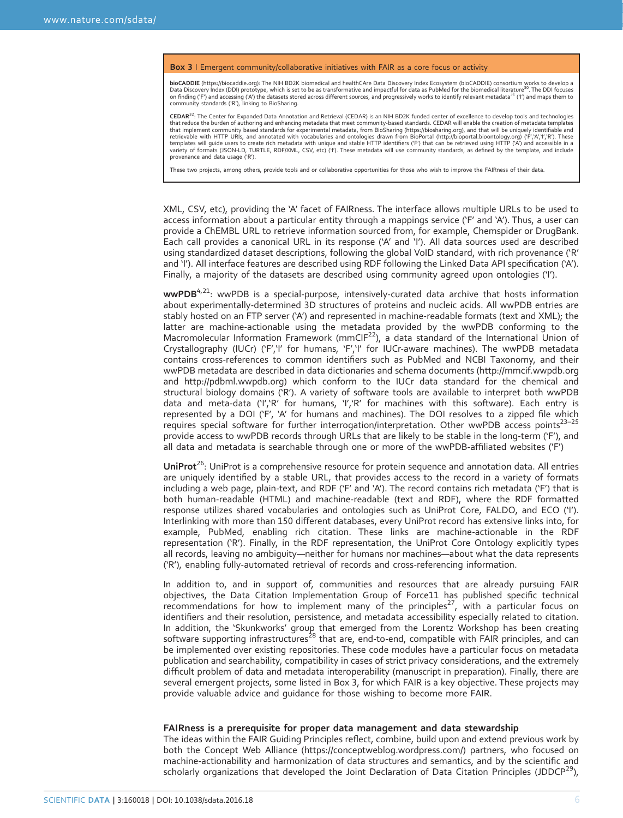#### Box 3 | Emergent community/collaborative initiatives with FAIR as a core focus or activity

**bioCADDIE** [\(https://biocaddie.org\)](https://biocaddie.org): The NIH BD2K biomedical and healthCAre Data Discovery Index Ecosystem (bioCADDIE) consortium works to develop a<br>Data Discovery Index (DDI) prototype, which is set to be as transformativ community standards ('R'), linking to BioSharing.

CEDAR<sup>[32](#page-8-0)</sup>: The Center for Expanded Data Annotation and Retrieval (CEDAR) is an NIH BD2K funded center of excellence to develop tools and technologies that reduce the burden of authoring and enhancing metadata that meet community-based standards. CEDAR will enable the creation of metadata templates that implement community based standards for experimental metadata, from BioSharing [\(https://biosharing.org\)](https://biosharing.org), and that will be uniquely identifiable and<br>retrievable with HTTP URIs, and annotated with vocabularies and ontol templates will guide users to create rich metadata with unique and stable HTTP identifiers ('F') that can be retrieved using HTTP ('A') and accessible in a variety of formats (JSON-LD, TURTLE, RDF/XML, CSV, etc) ('I'). These metadata will use community standards, as defined by the template, and include provenance and data usage ('R').

These two projects, among others, provide tools and or collaborative opportunities for those who wish to improve the FAIRness of their data.

XML, CSV, etc), providing the 'A' facet of FAIRness. The interface allows multiple URLs to be used to access information about a particular entity through a mappings service ('F' and 'A'). Thus, a user can provide a ChEMBL URL to retrieve information sourced from, for example, Chemspider or DrugBank. Each call provides a canonical URL in its response ('A' and 'I'). All data sources used are described using standardized dataset descriptions, following the global VoID standard, with rich provenance ('R' and 'I'). All interface features are described using RDF following the Linked Data API specification ('A'). Finally, a majority of the datasets are described using community agreed upon ontologies ('I').

 $wwPDB^{4,21}$  $wwPDB^{4,21}$  $wwPDB^{4,21}$  $wwPDB^{4,21}$  $wwPDB^{4,21}$ : wwPDB is a special-purpose, intensively-curated data archive that hosts information about experimentally-determined 3D structures of proteins and nucleic acids. All wwPDB entries are stably hosted on an FTP server ('A') and represented in machine-readable formats (text and XML); the latter are machine-actionable using the metadata provided by the wwPDB conforming to the Macromolecular Information Framework (mmCIF<sup>[22](#page-7-0)</sup>), a data standard of the International Union of Crystallography (IUCr) ('F','I' for humans, 'F','I' for IUCr-aware machines). The wwPDB metadata contains cross-references to common identifiers such as PubMed and NCBI Taxonomy, and their wwPDB metadata are described in data dictionaries and schema documents [\(http://mmcif.wwpdb.org](http://mmcif.wwpdb.org) and [http://pdbml.wwpdb.org\)](http://pdbml.wwpdb.org) which conform to the IUCr data standard for the chemical and structural biology domains ('R'). A variety of software tools are available to interpret both wwPDB data and meta-data ('I','R' for humans, 'I','R' for machines with this software). Each entry is represented by a DOI ('F', 'A' for humans and machines). The DOI resolves to a zipped file [which](#page-7-0) requires special software for further interrogation/interpretation. Other wwPDB access points<sup>23-25</sup> provide access to wwPDB records through URLs that are likely to be stable in the long-term ('F'), and all data and metadata is searchable through one or more of the wwPDB-affiliated websites ('F')

UniProt<sup>[26](#page-7-0)</sup>: UniProt is a comprehensive resource for protein sequence and annotation data. All entries are uniquely identified by a stable URL, that provides access to the record in a variety of formats including a web page, plain-text, and RDF ('F' and 'A'). The record contains rich metadata ('F') that is both human-readable (HTML) and machine-readable (text and RDF), where the RDF formatted response utilizes shared vocabularies and ontologies such as UniProt Core, FALDO, and ECO ('I'). Interlinking with more than 150 different databases, every UniProt record has extensive links into, for example, PubMed, enabling rich citation. These links are machine-actionable in the RDF representation ('R'). Finally, in the RDF representation, the UniProt Core Ontology explicitly types all records, leaving no ambiguity—neither for humans nor machines—about what the data represents ('R'), enabling fully-automated retrieval of records and cross-referencing information.

In addition to, and in support of, communities and resources that are already pursuing FAIR objectives, the Data Citation Implementation Group of Force11 has published specific technical recommendations for how to implement many of the principles<sup>[27](#page-7-0)</sup>, with a particular focus on identifiers and their resolution, persistence, and metadata accessibility especially related to citation. In addition, the 'Skunkworks' group that emerged from the Lorentz Workshop has been creating software supporting infrastructures<sup>[28](#page-7-0)</sup> that are, end-to-end, compatible with FAIR principles, and can be implemented over existing repositories. These code modules have a particular focus on metadata publication and searchability, compatibility in cases of strict privacy considerations, and the extremely difficult problem of data and metadata interoperability (manuscript in preparation). Finally, there are several emergent projects, some listed in Box 3, for which FAIR is a key objective. These projects may provide valuable advice and guidance for those wishing to become more FAIR.

#### FAIRness is a prerequisite for proper data management and data stewardship

The ideas within the FAIR Guiding Principles reflect, combine, build upon and extend previous work by both the Concept Web Alliance ([https://conceptweblog.wordpress.com/\)](https://conceptweblog.wordpress.com/) partners, who focused on machine-actionability and harmonization of data structures and semantics, and by the scientific and scholarly organizations that developed the Joint Declaration of Data Citation Principles (JDDCP<sup>[29](#page-7-0)</sup>),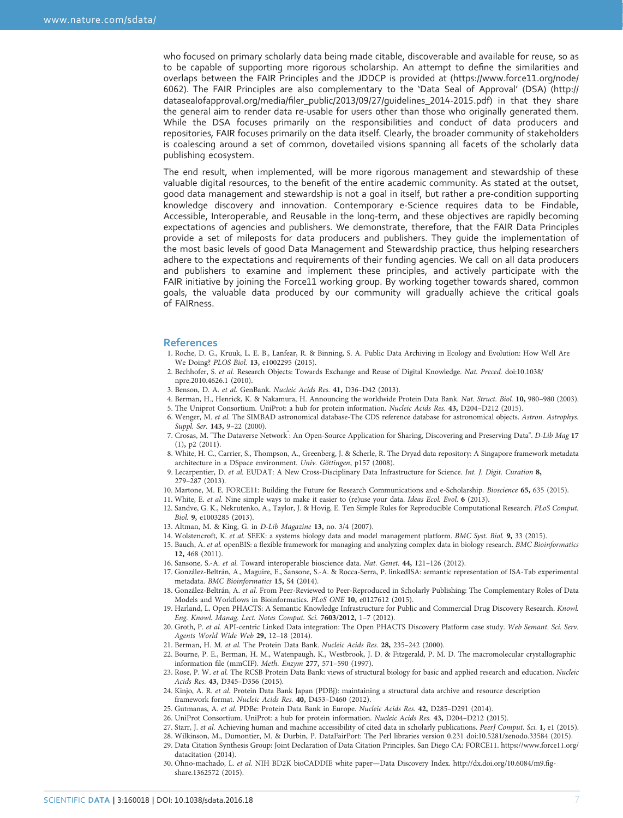<span id="page-7-0"></span>who focused on primary scholarly data being made citable, discoverable and available for reuse, so as to be capable of supporting more rigorous scholarship. An attempt to define the similarities and overlaps between the FAIR Principles and the JDDCP is provided at [\(https://www.force](https://www.force11.org/node/6062)11.org/node/ [6062](https://www.force11.org/node/6062)). The FAIR Principles are also complementary to the 'Data Seal of Approval' (DSA) [\(http://](http://datasealofapproval.org/media/filer_public/2013/09/27/guidelines_2014-2015.pdf) [datasealofapproval.org/media/](http://datasealofapproval.org/media/filer_public/2013/09/27/guidelines_2014-2015.pdf)filer\_public/2013/09/27/guidelines\_2014-2015.pdf) in that they share the general aim to render data re-usable for users other than those who originally generated them. While the DSA focuses primarily on the responsibilities and conduct of data producers and repositories, FAIR focuses primarily on the data itself. Clearly, the broader community of stakeholders is coalescing around a set of common, dovetailed visions spanning all facets of the scholarly data publishing ecosystem.

The end result, when implemented, will be more rigorous management and stewardship of these valuable digital resources, to the benefit of the entire academic community. As stated at the outset, good data management and stewardship is not a goal in itself, but rather a pre-condition supporting knowledge discovery and innovation. Contemporary e-Science requires data to be Findable, Accessible, Interoperable, and Reusable in the long-term, and these objectives are rapidly becoming expectations of agencies and publishers. We demonstrate, therefore, that the FAIR Data Principles provide a set of mileposts for data producers and publishers. They guide the implementation of the most basic levels of good Data Management and Stewardship practice, thus helping researchers adhere to the expectations and requirements of their funding agencies. We call on all data producers and publishers to examine and implement these principles, and actively participate with the FAIR initiative by joining the Force11 working group. By working together towards shared, common goals, the valuable data produced by our community will gradually achieve the critical goals of FAIRness.

#### References

- 1. Roche, D. G., Kruuk, L. E. B., Lanfear, R. & Binning, S. A. Public Data Archiving in Ecology and Evolution: How Well Are We Doing? PLOS Biol. 13, e1002295 (2015).
- 2. Bechhofer, S. et al. Research Objects: Towards Exchange and Reuse of Digital Knowledge. Nat. Preced. doi[:10.1038/](http://dx.doi.org/10.1038/npre.2010.4626.1)
- [npre.2010.4626.1](http://dx.doi.org/10.1038/npre.2010.4626.1) (2010).<br>3. Benson, D. A. et al. GenBank. Nucleic Acids Res. 41, D36-D42 (2013). 3. Benson, D. A. *et al.* GenBank. *Nucleic Acids Res.* 41, D36–D42 (2013).<br>4. Berman, H. Henrick, K. & Nakamura, H. Announcing the worldwide l
- 4. Berman, H., Henrick, K. & Nakamura, H. Announcing the worldwide Protein Data Bank. *Nat. Struct. Biol.* 10, 980–980 (2003).<br>5. The Uniprot Consortium, UniProt: a bub for protein information. *Nucleic Acids Res*. 43, D20
- 5. The Uniprot Consortium. UniProt: a hub for protein information. Nucleic Acids Res. 43, D204–D212 (2015).
- 6. Wenger, M. et al. The SIMBAD astronomical database-The CDS reference database for astronomical objects. Astron. Astrophys. Suppl. Ser. 143, <sup>9</sup>–22 (2000).
- 7. Crosas, M. "The Dataverse Network": An Open-Source Application for Sharing, Discovering and Preserving Data". D-Lib Mag 17<br>(1) n2 (2011) (1), p2 (2011).
- 8. White, H. C., Carrier, S., Thompson, A., Greenberg, J. & Scherle, R. The Dryad data repository: A Singapore framework metadata architecture in a DSpace environment. Univ. Göttingen, p157 (2008).
- 9. Lecarpentier, D. et al. EUDAT: A New Cross-Disciplinary Data Infrastructure for Science. Int. J. Digit. Curation 8, 279–287 (2013).
- 10. Martone, M. E. FORCE11: Building the Future for Research Communications and e-Scholarship. Bioscience 65, 635 (2015).
- 11. White, E. et al. Nine simple ways to make it easier to (re)use your data. Ideas Ecol. Evol. 6 (2013).
- 12. Sandve, G. K., Nekrutenko, A., Taylor, J. & Hovig, E. Ten Simple Rules for Reproducible Computational Research. PLoS Comput. Biol. **9,** e1003285 (2013).<br>Altman M & King G i
- 13. Altman, M. & King, G. in *D-Lib Magazine* 13, no. 3/4 (2007).<br>14 Wolstencroft, K. et al. SEEK: a systems biology data and mod
- 14. Wolstencroft, K. et al. SEEK: a systems biology data and model management platform. BMC Syst. Biol. 9, 33 (2015).
- 15. Bauch, A. et al. openBIS: a flexible framework for managing and analyzing complex data in biology research. BMC Bioinformatics 12, 468 (2011).
- 16. Sansone, S.-A. et al. Toward interoperable bioscience data. Nat. Genet. 44, <sup>121</sup>–126 (2012).
- 17. González-Beltrán, A., Maguire, E., Sansone, S.-A. & Rocca-Serra, P. linkedISA: semantic representation of ISA-Tab experimental metadata. BMC Bioinformatics 15, S4 (2014).
- 18. González-Beltrán, A. et al. From Peer-Reviewed to Peer-Reproduced in Scholarly Publishing: The Complementary Roles of Data Models and Workflows in Bioinformatics. PLoS ONE 10, e0127612 (2015).
- 19. Harland, L. Open PHACTS: A Semantic Knowledge Infrastructure for Public and Commercial Drug Discovery Research. Knowl. Eng. Knowl. Manag. Lect. Notes Comput. Sci. 7603/2012, <sup>1</sup>–7 (2012).
- 20. Groth, P. et al. API-centric Linked Data integration: The Open PHACTS Discovery Platform case study. Web Semant. Sci. Serv. Agents World Wide Web 29, <sup>12</sup>–18 (2014).
- 21. Berman, H. M. et al. The Protein Data Bank. Nucleic Acids Res. 28, <sup>235</sup>–242 (2000).
- 22. Bourne, P. E., Berman, H. M., Watenpaugh, K., Westbrook, J. D. & Fitzgerald, P. M. D. The macromolecular crystallographic information file (mmCIF). Meth. Enzym 277, <sup>571</sup>–590 (1997).
- 23. Rose, P. W. et al. The RCSB Protein Data Bank: views of structural biology for basic and applied research and education. Nucleic Acids Res. 43, D345–D356 (2015).
- 24. Kinjo, A. R. et al. Protein Data Bank Japan (PDBj): maintaining a structural data archive and resource description framework format. Nucleic Acids Res. 40, D453–D460 (2012).
- 25. Gutmanas, A. et al. PDBe: Protein Data Bank in Europe. Nucleic Acids Res. 42, D285–D291 (2014).
- 26. UniProt Consortium. UniProt: a hub for protein information. Nucleic Acids Res. 43, D204–D212 (2015).
- 27. Starr, J. et al. Achieving human and machine accessibility of cited data in scholarly publications. PeerJ Comput. Sci. 1, e1 (2015).
- 28. Wilkinson, M., Dumontier, M. & Durbin, P. DataFairPort: The Perl libraries version 0.231 doi[:10.5281/zenodo.33584](http://dx.doi.org/10.5281/zenodo.33584) (2015).
- 29. Data Citation Synthesis Group: Joint Declaration of Data Citation Principles. San Diego CA: FORCE11. [https://www.force11.org/](https://www.force11.org/datacitation) [datacitation](https://www.force11.org/datacitation) (2014).
- 30. Ohno-machado, L. et al. NIH BD2K bioCADDIE white paper—Data Discovery Index. [http://dx.doi.org/10.6084/m9.](http://dx.doi.org/10.6084/m9.figshare.1362572)fig[share.1362572](http://dx.doi.org/10.6084/m9.figshare.1362572) (2015).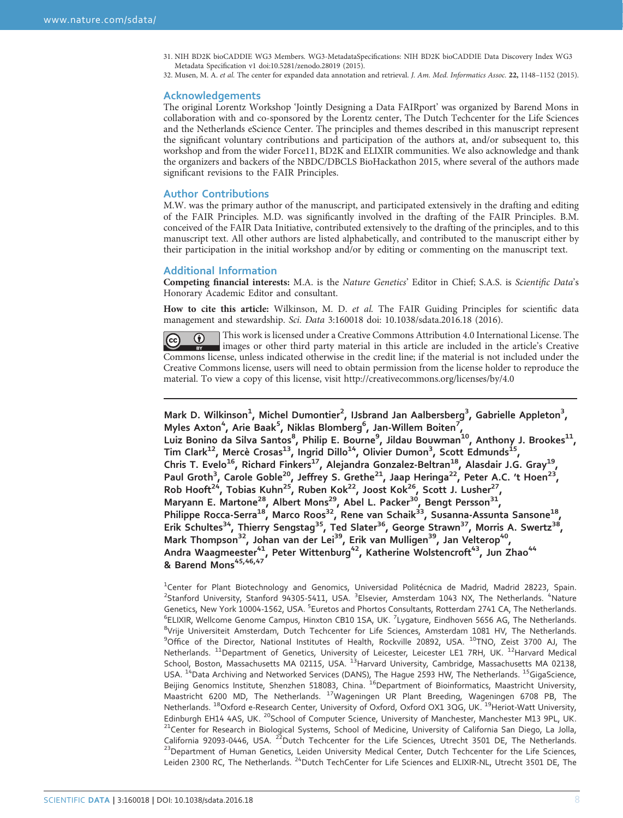- <span id="page-8-0"></span>31. NIH BD2K bioCADDIE WG3 Members. WG3-MetadataSpecifications: NIH BD2K bioCADDIE Data Discovery Index WG3 Metadata Specification v1 doi:[10.5281/zenodo.28019](http://dx.doi.org/10.5281/zenodo.28019) (2015).
- 32. Musen, M. A. et al. The center for expanded data annotation and retrieval. J. Am. Med. Informatics Assoc. 22, <sup>1148</sup>–1152 (2015).

#### Acknowledgements

The original Lorentz Workshop 'Jointly Designing a Data FAIRport' was organized by Barend Mons in collaboration with and co-sponsored by the Lorentz center, The Dutch Techcenter for the Life Sciences and the Netherlands eScience Center. The principles and themes described in this manuscript represent the significant voluntary contributions and participation of the authors at, and/or subsequent to, this workshop and from the wider Force11, BD2K and ELIXIR communities. We also acknowledge and thank the organizers and backers of the NBDC/DBCLS BioHackathon 2015, where several of the authors made significant revisions to the FAIR Principles.

#### Author Contributions

M.W. was the primary author of the manuscript, and participated extensively in the drafting and editing of the FAIR Principles. M.D. was significantly involved in the drafting of the FAIR Principles. B.M. conceived of the FAIR Data Initiative, contributed extensively to the drafting of the principles, and to this manuscript text. All other authors are listed alphabetically, and contributed to the manuscript either by their participation in the initial workshop and/or by editing or commenting on the manuscript text.

#### Additional Information

Competing financial interests: M.A. is the Nature Genetics' Editor in Chief; S.A.S. is Scientific Data'<sup>s</sup> Honorary Academic Editor and consultant.

How to cite this article: Wilkinson, M. D. et al. The FAIR Guiding Principles for scientific data management and stewardship. Sci. Data 3:160018 doi: 10.1038/sdata.2016.18 (2016).

This work is licensed under a Creative Commons Attribution 4.0 International License. The  $(cc)$ images or other third party material in this article are included in the article's Creative Commons license, unless indicated otherwise in the credit line; if the material is not included under the Creative Commons license, users will need to obtain permission from the license holder to reproduce the material. To view a copy of this license, visit<http://creativecommons.org/licenses/by/4.0>

Mark D. Wilkinson<sup>1</sup>, Michel Dumontier<sup>2</sup>, IJsbrand Jan Aalbersberg<sup>3</sup>, Gabrielle Appleton<sup>3</sup>, Myles Axton<sup>4</sup>, Arie Baak<sup>5</sup>, Niklas Blomberg<sup>6</sup>, Jan-Willem Boiten<sup>7</sup>, Luiz Bonino da Silva Santos<sup>8</sup>, Philip E. Bourne<sup>9</sup>, Jildau Bouwman<sup>10</sup>, Anthony J. Brookes<sup>11</sup>, Tim Clark $^{12}$ , Mercè Crosas $^{13}$ , Ingrid Dillo $^{14}$ , Olivier Dumon $^3$ , Scott Edmunds $^{15}$ , Chris T. Evelo<sup>16</sup>, Richard Finkers<sup>17</sup>, Alejandra Gonzalez-Beltran<sup>18</sup>, Alasdair J.G. Gray<sup>19</sup>, Paul Groth<sup>3</sup>, Carole Goble<sup>20</sup>, Jeffrey S. Grethe<sup>21</sup>, Jaap Heringa<sup>22</sup>, Peter A.C. 't Hoen<sup>23</sup>, Rob Hooft<sup>24</sup>, Tobias Kuhn<sup>25</sup>, Ruben Kok<sup>22</sup>, Joost Kok<sup>26</sup>, Scott J. Lusher<sup>27</sup>, Maryann E. Martone<sup>28</sup>, Albert Mons<sup>29</sup>, Abel L. Packer<sup>30</sup>, Bengt Persson<sup>31</sup>, Philippe Rocca-Serra<sup>18</sup>, Marco Roos<sup>32</sup>, Rene van Schaik<sup>33</sup>, Susanna-Assunta Sansone<sup>18</sup>, Erik Schultes<sup>34</sup>, Thierry Sengstag<sup>35</sup>, Ted Slater<sup>36</sup>, George Strawn<sup>37</sup>, Morris A. Swertz<sup>38</sup>, Mark Thompson<sup>32</sup>, Johan van der Lei<sup>39</sup>, Erik van Mulligen<sup>39</sup>, Jan Velterop<sup>40</sup>, Andra Waagmeester<sup>41</sup>, Peter Wittenburg<sup>42</sup>, Katherine Wolstencroft<sup>43</sup>, Jun Zhao<sup>44</sup> & Barend Mons<sup>45,46,47</sup>

<sup>1</sup>Center for Plant Biotechnology and Genomics, Universidad Politécnica de Madrid, Madrid 28223, Spain.<br><sup>2</sup>Stanford University, Stanford 86205-5611, USA, <sup>3</sup>Elequier, Ameterdam 1062-NY, The Netherlands, <sup>4</sup>Nature Stanford University, Stanford 94305-5411, USA. <sup>3</sup>Elsevier, Amsterdam 1043 NX, The Netherlands. <sup>4</sup>Nature Genetics, New York 10004-1562, USA. <sup>5</sup>Euretos and Phortos Consultants, Rotterdam 2741 CA, The Netherlands.<br><sup>6</sup>ELIVIP, Wollcome Conome Campus, Hipyton CP10.15A, LIK, <sup>7</sup>Lygatuse, Findhoven 5656, AG, The Netherlands.  ${}^{6}$ ELIXIR, Wellcome Genome Campus, Hinxton CB10 1SA, UK. <sup>7</sup>Lygature, Eindhoven 5656 AG, The Netherlands.<br><sup>8</sup>Vrije Universiteit Amsterdam, Dutch Techsenter for Life Sciences, Amsterdam 1981, HV, The Netherlands.  $\textsuperscript{8}$ Vrije Universiteit Amsterdam, Dutch Techcenter for Life Sciences, Amsterdam 1081 HV, The Netherlands. <sup>9</sup>Office of the Director, National Institutes of Health, Rockville 20892, USA. <sup>10</sup>TNO, Zeist 3700 AJ, The Netherlands. <sup>11</sup>Department of Genetics, University of Leicester, Leicester LE1 7RH, UK. <sup>12</sup>Harvard Medical School, Boston, Massachusetts MA 02115, USA. <sup>13</sup>Harvard University, Cambridge, Massachusetts MA 02138, USA. <sup>14</sup>Data Archiving and Networked Services (DANS), The Hague 2593 HW, The Netherlands. <sup>15</sup>GigaScience, Beijing Genomics Institute, Shenzhen 518083, China. <sup>16</sup>Department of Bioinformatics, Maastricht University, Maastricht 6200 MD, The Netherlands. <sup>17</sup>Wageningen UR Plant Breeding, Wageningen 6708 PB, The Netherlands. <sup>18</sup>Oxford e-Research Center, University of Oxford, Oxford OX1 3QG, UK. <sup>19</sup>Heriot-Watt University,<br>Edinburgh EH14 4AS, UK. <sup>20</sup>School of Computer Science, University of Manchester, Manchester M13 9PL, UK. <sup>21</sup>Center for Research in Biological Systems, School of Medicine, University of California San Diego, La Jolla,<br>California 92093-0446, USA. <sup>22</sup>Dutch Techcenter for the Life Sciences, Utrecht 3501 DE, The Netherlands. <sup>23</sup>Department of Human Genetics, Leiden University Medical Center, Dutch Techcenter for the Life Sciences, Leiden 2300 RC, The Netherlands. <sup>24</sup>Dutch TechCenter for Life Sciences and ELIXIR-NL, Utrecht 3501 DE, The